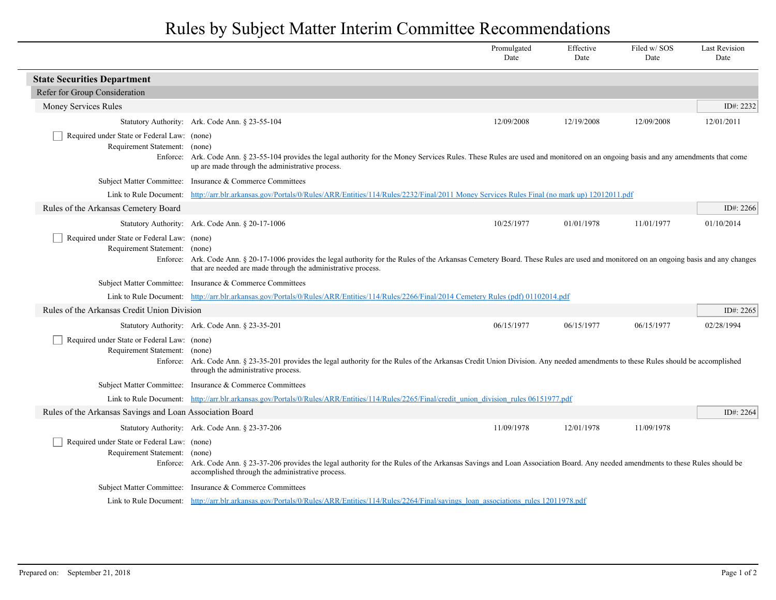## Rules by Subject Matter Interim Committee Recommendations

|                                                                              |                                                                                                                                                                                                                                                        | Promulgated<br>Date | Effective<br>Date | Filed w/SOS<br>Date | <b>Last Revision</b><br>Date |  |  |
|------------------------------------------------------------------------------|--------------------------------------------------------------------------------------------------------------------------------------------------------------------------------------------------------------------------------------------------------|---------------------|-------------------|---------------------|------------------------------|--|--|
| <b>State Securities Department</b>                                           |                                                                                                                                                                                                                                                        |                     |                   |                     |                              |  |  |
| Refer for Group Consideration                                                |                                                                                                                                                                                                                                                        |                     |                   |                     |                              |  |  |
| Money Services Rules                                                         |                                                                                                                                                                                                                                                        |                     |                   |                     | ID#: $2232$                  |  |  |
|                                                                              | Statutory Authority: Ark. Code Ann. § 23-55-104                                                                                                                                                                                                        | 12/09/2008          | 12/19/2008        | 12/09/2008          | 12/01/2011                   |  |  |
| Required under State or Federal Law: (none)<br>Requirement Statement: (none) | Enforce: Ark. Code Ann. § 23-55-104 provides the legal authority for the Money Services Rules. These Rules are used and monitored on an ongoing basis and any amendments that come<br>up are made through the administrative process.                  |                     |                   |                     |                              |  |  |
|                                                                              | Subject Matter Committee: Insurance & Commerce Committees                                                                                                                                                                                              |                     |                   |                     |                              |  |  |
| Link to Rule Document:                                                       | http://arr.blr.arkansas.gov/Portals/0/Rules/ARR/Entities/114/Rules/2232/Final/2011 Money Services Rules Final (no mark up) 12012011.pdf                                                                                                                |                     |                   |                     |                              |  |  |
| Rules of the Arkansas Cemetery Board                                         |                                                                                                                                                                                                                                                        |                     |                   |                     | ID#: 2266                    |  |  |
|                                                                              | Statutory Authority: Ark. Code Ann. § 20-17-1006                                                                                                                                                                                                       | 10/25/1977          | 01/01/1978        | 11/01/1977          | 01/10/2014                   |  |  |
| Required under State or Federal Law: (none)<br>Requirement Statement: (none) | Enforce: Ark. Code Ann. § 20-17-1006 provides the legal authority for the Rules of the Arkansas Cemetery Board. These Rules are used and monitored on an ongoing basis and any changes<br>that are needed are made through the administrative process. |                     |                   |                     |                              |  |  |
|                                                                              | Subject Matter Committee: Insurance & Commerce Committees                                                                                                                                                                                              |                     |                   |                     |                              |  |  |
|                                                                              | Link to Rule Document: http://arr.blr.arkansas.gov/Portals/0/Rules/ARR/Entities/114/Rules/2266/Final/2014 Cemetery Rules (pdf) 01102014.pdf                                                                                                            |                     |                   |                     |                              |  |  |
| Rules of the Arkansas Credit Union Division                                  |                                                                                                                                                                                                                                                        |                     |                   |                     | ID#: 2265                    |  |  |
|                                                                              | Statutory Authority: Ark. Code Ann. § 23-35-201                                                                                                                                                                                                        | 06/15/1977          | 06/15/1977        | 06/15/1977          | 02/28/1994                   |  |  |
| Required under State or Federal Law: (none)<br>Requirement Statement: (none) | Enforce: Ark. Code Ann. § 23-35-201 provides the legal authority for the Rules of the Arkansas Credit Union Division. Any needed amendments to these Rules should be accomplished<br>through the administrative process.                               |                     |                   |                     |                              |  |  |
|                                                                              | Subject Matter Committee: Insurance & Commerce Committees                                                                                                                                                                                              |                     |                   |                     |                              |  |  |
|                                                                              | Link to Rule Document: http://arr.blr.arkansas.gov/Portals/0/Rules/ARR/Entities/114/Rules/2265/Final/credit union division rules 06151977.pdf                                                                                                          |                     |                   |                     |                              |  |  |
| Rules of the Arkansas Savings and Loan Association Board                     |                                                                                                                                                                                                                                                        |                     |                   |                     | ID#: 2264                    |  |  |
|                                                                              | Statutory Authority: Ark. Code Ann. § 23-37-206                                                                                                                                                                                                        | 11/09/1978          | 12/01/1978        | 11/09/1978          |                              |  |  |
| Required under State or Federal Law: (none)<br>Requirement Statement: (none) | Enforce: Ark. Code Ann. § 23-37-206 provides the legal authority for the Rules of the Arkansas Savings and Loan Association Board. Any needed amendments to these Rules should be<br>accomplished through the administrative process.                  |                     |                   |                     |                              |  |  |
|                                                                              | Subject Matter Committee: Insurance & Commerce Committees                                                                                                                                                                                              |                     |                   |                     |                              |  |  |
|                                                                              | Link to Rule Document: http://arr.blr.arkansas.gov/Portals/0/Rules/ARR/Entities/114/Rules/2264/Final/savings loan associations rules 12011978.pdf                                                                                                      |                     |                   |                     |                              |  |  |